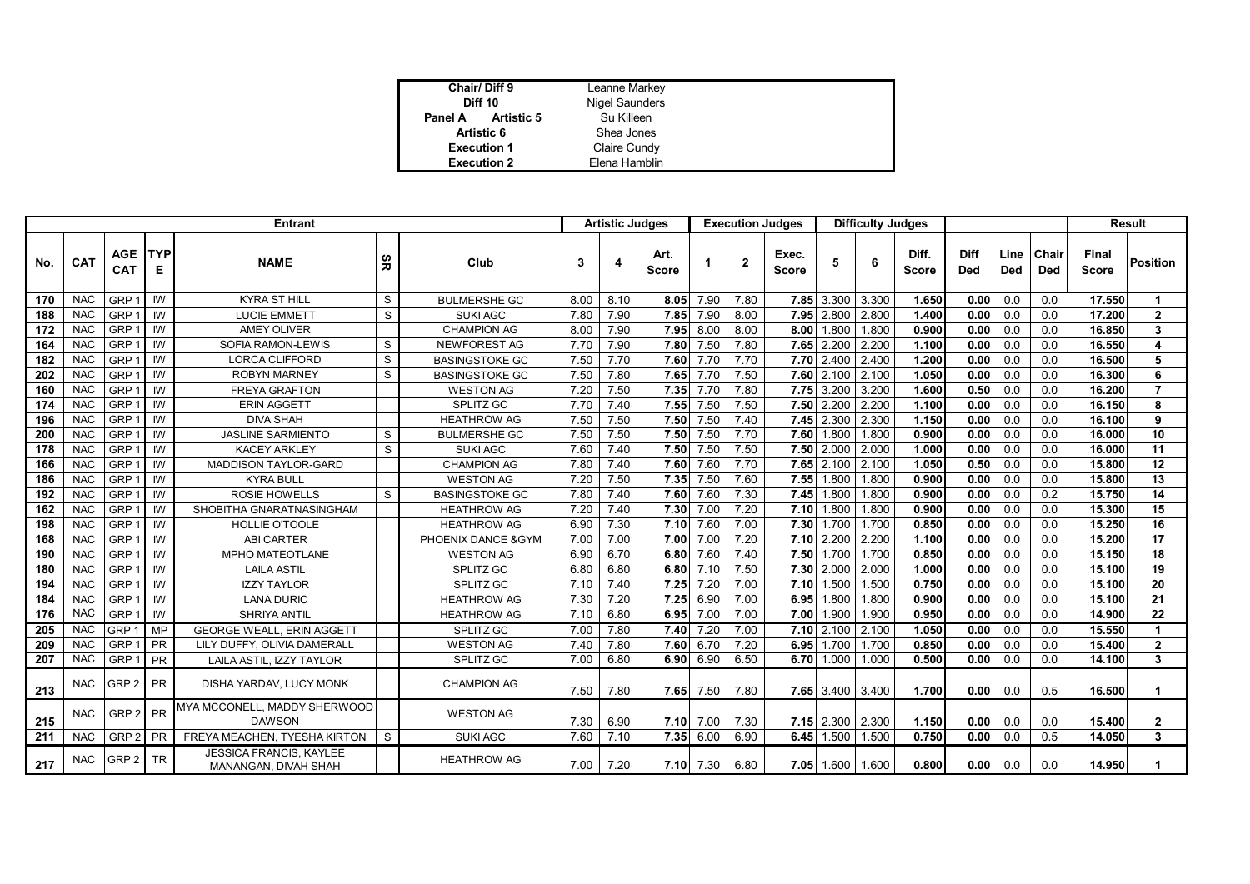| Chair/Diff 9                 | Leanne Markey         |
|------------------------------|-----------------------|
| <b>Diff 10</b>               | <b>Nigel Saunders</b> |
| <b>Artistic 5</b><br>Panel A | Su Killeen            |
| Artistic 6                   | Shea Jones            |
| <b>Execution 1</b>           | Claire Cundy          |
| <b>Execution 2</b>           | Elena Hamblin         |

| <b>Entrant</b> |            |                          |                 |                                                        |     | <b>Artistic Judges</b> |      |      | <b>Execution Judges</b> |      |                | <b>Difficulty Judges</b> |                  |       |                |                    |                    | <b>Result</b>       |                              |                 |
|----------------|------------|--------------------------|-----------------|--------------------------------------------------------|-----|------------------------|------|------|-------------------------|------|----------------|--------------------------|------------------|-------|----------------|--------------------|--------------------|---------------------|------------------------------|-----------------|
| No.            | <b>CAT</b> | <b>AGE</b><br><b>CAT</b> | <b>TYP</b><br>Е | <b>NAME</b>                                            | ပ္ဟ | Club                   | 3    |      | Art.<br><b>Score</b>    |      | $\overline{2}$ | Exec.<br><b>Score</b>    | 5                | 6     | Diff.<br>Score | Diff<br><b>Ded</b> | Line<br><b>Ded</b> | Chair<br><b>Ded</b> | <b>Final</b><br><b>Score</b> | <b>Position</b> |
| 170            | <b>NAC</b> | GRP -                    | IW              | <b>KYRA ST HILL</b>                                    | S   | <b>BULMERSHE GC</b>    | 8.00 | 8.10 | 8.05                    | 7.90 | 7.80           |                          | 7.85 3.300       | 3.300 | 1.650          | 0.00               | 0.0                | 0.0                 | 17.550                       | 1               |
| 188            | <b>NAC</b> | GRP -                    | IW              | <b>LUCIE EMMETT</b>                                    | S   | <b>SUKI AGC</b>        | 7.80 | 7.90 | 7.85                    | 7.90 | 8.00           | 7.95                     | 2.800            | 2.800 | 1.400          | 0.00               | 0.0                | 0.0                 | 17.200                       | $\mathbf{2}$    |
| 172            | <b>NAC</b> | GRP <sup>-</sup>         | IW              | <b>AMEY OLIVER</b>                                     |     | <b>CHAMPION AG</b>     | 8.00 | 7.90 | 7.95                    | 8.00 | 8.00           | 8.00                     | 1.800            | 1.800 | 0.900          | 0.00               | 0.0                | 0.0                 | 16.850                       | 3               |
| 164            | <b>NAC</b> | GRP <sup>-</sup>         | IW              | SOFIA RAMON-LEWIS                                      | S   | <b>NEWFOREST AG</b>    | 7.70 | 7.90 | 7.80                    | 7.50 | 7.80           | 7.65                     | 2.200            | 2.200 | 1.100          | 0.00               | 0.0                | 0.0                 | 16.550                       | 4               |
| 182            | <b>NAC</b> | GRP <sup>-</sup>         | IW              | LORCA CLIFFORD                                         | S   | <b>BASINGSTOKE GC</b>  | 7.50 | 7.70 | 7.60                    | 7.70 | 7.70           | 7.70                     | 2.400            | 2.400 | 1.200          | 0.00               | 0.0                | 0.0                 | 16.500                       | 5               |
| 202            | <b>NAC</b> | GRP <sup>-</sup>         | IW              | <b>ROBYN MARNEY</b>                                    | S   | <b>BASINGSTOKE GC</b>  | 7.50 | 7.80 | 7.65                    | 7.70 | 7.50           | 7.60                     | 2.100            | 2.100 | 1.050          | 0.00               | 0.0                | 0.0                 | 16.300                       | 6               |
| 160            | <b>NAC</b> | GRP <sup>-</sup>         | IW              | <b>FREYA GRAFTON</b>                                   |     | <b>WESTON AG</b>       | 7.20 | 7.50 | 7.35                    | 7.70 | 7.80           | 7.75                     | 3.200            | 3.200 | 1.600          | 0.50               | 0.0                | 0.0                 | 16.200                       | $\overline{7}$  |
| 174            | <b>NAC</b> | GRP -                    | IW              | <b>ERIN AGGETT</b>                                     |     | SPLITZ GC              | 7.70 | 7.40 | 7.55                    | 7.50 | 7.50           | 7.50                     | 2.200            | 2.200 | 1.100          | 0.00               | 0.0                | 0.0                 | 16.150                       | 8               |
| 196            | <b>NAC</b> | GRP <sup>-</sup>         | IW              | <b>DIVA SHAH</b>                                       |     | <b>HEATHROW AG</b>     | 7.50 | 7.50 | 7.50                    | 7.50 | 7.40           | 7.45                     | 2.300            | 2.300 | 1.150          | 0.00               | 0.0                | 0.0                 | 16.100                       | 9               |
| 200            | <b>NAC</b> | GRP <sup>-</sup>         | IW              | <b>JASLINE SARMIENTO</b>                               | S   | <b>BULMERSHE GC</b>    | 7.50 | 7.50 | 7.50                    | 7.50 | 7.70           | 7.60                     | 1.800            | 1.800 | 0.900          | 0.00               | 0.0                | 0.0                 | 16.000                       | 10              |
| 178            | <b>NAC</b> | GRP <sup>-</sup>         | IW              | <b>KACEY ARKLEY</b>                                    | S   | <b>SUKI AGC</b>        | 7.60 | 7.40 | 7.50                    | 7.50 | 7.50           | 7.50                     | 2.000            | 2.000 | 1.000          | 0.00               | 0.0                | 0.0                 | 16.000                       | 11              |
| 166            | <b>NAC</b> | GRP <sup>-</sup>         | IW              | MADDISON TAYLOR-GARD                                   |     | <b>CHAMPION AG</b>     | 7.80 | 7.40 | 7.60                    | 7.60 | 7.70           | 7.65                     | 2.100            | 2.100 | 1.050          | 0.50               | 0.0                | 0.0                 | 15.800                       | 12              |
| 186            | <b>NAC</b> | GRP <sup>-</sup>         | IW              | <b>KYRA BULL</b>                                       |     | <b>WESTON AG</b>       | 7.20 | 7.50 | 7.35                    | 7.50 | 7.60           | 7.55                     | 1.800            | 1.800 | 0.900          | 0.00               | 0.0                | 0.0                 | 15,800                       | 13              |
| 192            | <b>NAC</b> | GRP <sup>-</sup>         | IW              | <b>ROSIE HOWELLS</b>                                   | S   | <b>BASINGSTOKE GC</b>  | 7.80 | 7.40 | 7.60                    | 7.60 | 7.30           | 7.45                     | 1.800            | 1.800 | 0.900          | 0.00               | 0.0                | 0.2                 | 15.750                       | 14              |
| 162            | <b>NAC</b> | GRP '                    | IW              | SHOBITHA GNARATNASINGHAM                               |     | <b>HEATHROW AG</b>     | 7.20 | 7.40 | 7.30                    | 7.00 | 7.20           | 7.10                     | 1.800            | 1.800 | 0.900          | 0.00               | 0.0                | 0.0                 | 15.300                       | 15              |
| 198            | <b>NAC</b> | GRP -                    | IW              | HOLLIE O'TOOLE                                         |     | <b>HEATHROW AG</b>     | 6.90 | 7.30 | 7.10                    | 7.60 | 7.00           | 7.30                     | 1.700            | 1.700 | 0.850          | 0.00               | 0.0                | 0.0                 | 15.250                       | 16              |
| 168            | <b>NAC</b> | GRP <sup>-</sup>         | IW              | <b>ABI CARTER</b>                                      |     | PHOENIX DANCE & GYM    | 7.00 | 7.00 | 7.00                    | 7.00 | 7.20           | 7.10                     | 2.200            | 2.200 | 1.100          | 0.00               | 0.0                | 0.0                 | 15.200                       | 17              |
| 190            | <b>NAC</b> | GRP <sup>-</sup>         | IW              | MPHO MATEOTLANE                                        |     | <b>WESTON AG</b>       | 6.90 | 6.70 | 6.80                    | 7.60 | 7.40           | 7.50                     | 1.700            | 1.700 | 0.850          | 0.00               | 0.0                | 0.0                 | 15.150                       | 18              |
| 180            | <b>NAC</b> | <b>GRP</b>               | IW              | <b>LAILA ASTIL</b>                                     |     | <b>SPLITZ GC</b>       | 6.80 | 6.80 | 6.80                    | 7.10 | 7.50           | 7.30                     | 2.000            | 2.000 | 1.000          | 0.00               | 0.0                | 0.0                 | 15.100                       | 19              |
| 194            | <b>NAC</b> | GRP -                    | IW              | <b>IZZY TAYLOR</b>                                     |     | SPLITZ GC              | 7.10 | 7.40 | 7.25                    | 7.20 | 7.00           | 7.10                     | 1.500            | 1.500 | 0.750          | 0.00               | 0.0                | 0.0                 | 15.100                       | 20              |
| 184            | <b>NAC</b> | GRP <sup>-</sup>         | IW              | <b>LANA DURIC</b>                                      |     | <b>HEATHROW AG</b>     | 7.30 | 7.20 | 7.25                    | 6.90 | 7.00           | 6.95                     | 1.800            | 1.800 | 0.900          | 0.00               | 0.0                | 0.0                 | 15.100                       | 21              |
| 176            | <b>NAC</b> | GRP <sup>-</sup>         | IW              | <b>SHRIYA ANTIL</b>                                    |     | <b>HEATHROW AG</b>     | 7.10 | 6.80 | 6.95                    | 7.00 | 7.00           | 7.00                     | 1.900            | 1.900 | 0.950          | 0.00               | 0.0                | 0.0                 | 14.900                       | $\overline{22}$ |
| 205            | <b>NAC</b> | GRP <sub>1</sub>         | <b>MP</b>       | <b>GEORGE WEALL, ERIN AGGETT</b>                       |     | SPLITZ GC              | 7.00 | 7.80 | 7.40                    | 7.20 | 7.00           | 7.10                     | 2.100            | 2.100 | 1.050          | 0.00               | 0.0                | 0.0                 | 15.550                       | 1               |
| 209            | <b>NAC</b> | GRP <sub>1</sub>         | <b>PR</b>       | LILY DUFFY, OLIVIA DAMERALL                            |     | <b>WESTON AG</b>       | 7.40 | 7.80 | 7.60                    | 6.70 | 7.20           | 6.95                     | 1.700            | 1.700 | 0.850          | 0.00               | 0.0                | 0.0                 | 15,400                       | $\overline{2}$  |
| 207            | <b>NAC</b> | GRP <sub>1</sub>         | <b>PR</b>       | LAILA ASTIL, IZZY TAYLOR                               |     | SPLITZ GC              | 7.00 | 6.80 | 6.90                    | 6.90 | 6.50           | 6.70                     | 1.000            | 1.000 | 0.500          | 0.00               | 0.0                | 0.0                 | 14.100                       | $\mathbf{3}$    |
| 213            | <b>NAC</b> | GRP <sub>2</sub>         | <b>PR</b>       | DISHA YARDAV, LUCY MONK                                |     | <b>CHAMPION AG</b>     | 7.50 | 7.80 | 7.65                    | 7.50 | 7.80           |                          | 7.65 3.400 3.400 |       | 1.700          | 0.00               | 0.0                | 0.5                 | 16.500                       | 1               |
| 215            | <b>NAC</b> | GRP <sub>2</sub>         | <b>PR</b>       | MYA MCCONELL, MADDY SHERWOOD<br><b>DAWSON</b>          |     | <b>WESTON AG</b>       | 7.30 | 6.90 | 7.10                    | 7.00 | 7.30           |                          | 7.15 2.300       | 2.300 | 1.150          | 0.00               | 0.0                | 0.0                 | 15.400                       | $\mathbf{2}$    |
| 211            | <b>NAC</b> | GRP <sub>2</sub>         | PR              | FREYA MEACHEN, TYESHA KIRTON                           | S   | <b>SUKI AGC</b>        | 7.60 | 7.10 | 7.35                    | 6.00 | 6.90           | 6.45                     | 1.500            | 1.500 | 0.750          | 0.00               | 0.0                | 0.5                 | 14.050                       | 3               |
| 217            | <b>NAC</b> | GRP <sub>2</sub>         | <b>TR</b>       | <b>JESSICA FRANCIS, KAYLEE</b><br>MANANGAN, DIVAH SHAH |     | <b>HEATHROW AG</b>     | 7.00 | 7.20 | 7.10                    | 7.30 | 6.80           |                          | 7.05 1.600       | 1.600 | 0.800          | 0.00               | 0.0                | 0.0                 | 14.950                       | 1               |